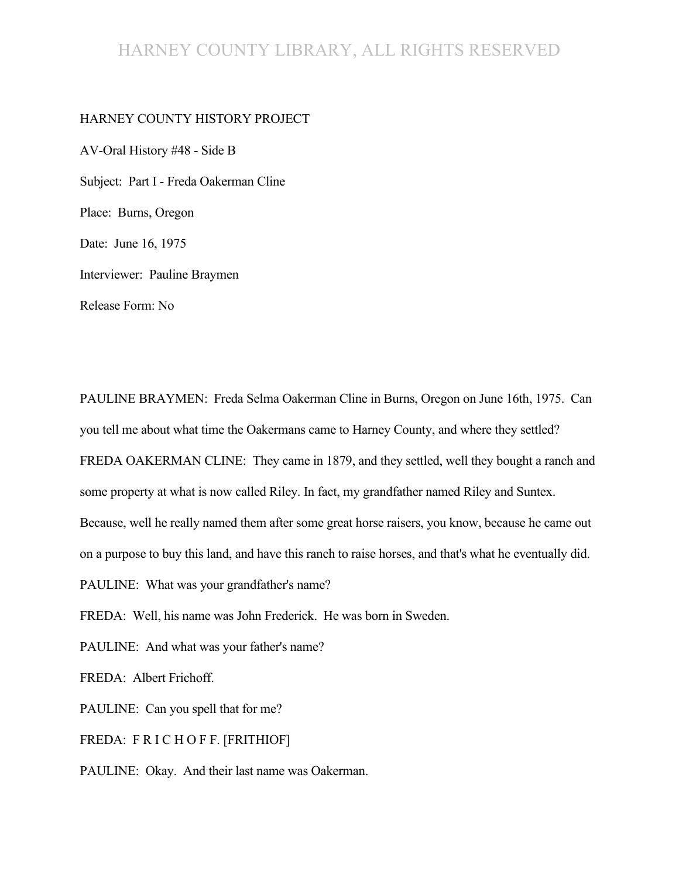# HARNEY COUNTY LIBRARY, ALL RIGHTS RESERVED

#### HARNEY COUNTY HISTORY PROJECT

AV-Oral History #48 - Side B Subject: Part I - Freda Oakerman Cline Place: Burns, Oregon Date: June 16, 1975 Interviewer: Pauline Braymen Release Form: No

PAULINE BRAYMEN: Freda Selma Oakerman Cline in Burns, Oregon on June 16th, 1975. Can you tell me about what time the Oakermans came to Harney County, and where they settled? FREDA OAKERMAN CLINE: They came in 1879, and they settled, well they bought a ranch and some property at what is now called Riley. In fact, my grandfather named Riley and Suntex. Because, well he really named them after some great horse raisers, you know, because he came out on a purpose to buy this land, and have this ranch to raise horses, and that's what he eventually did. PAULINE: What was your grandfather's name? FREDA: Well, his name was John Frederick. He was born in Sweden.

PAULINE: And what was your father's name?

FREDA: Albert Frichoff.

PAULINE: Can you spell that for me?

FREDA: F R I C H O F F. [FRITHIOF]

PAULINE: Okay. And their last name was Oakerman.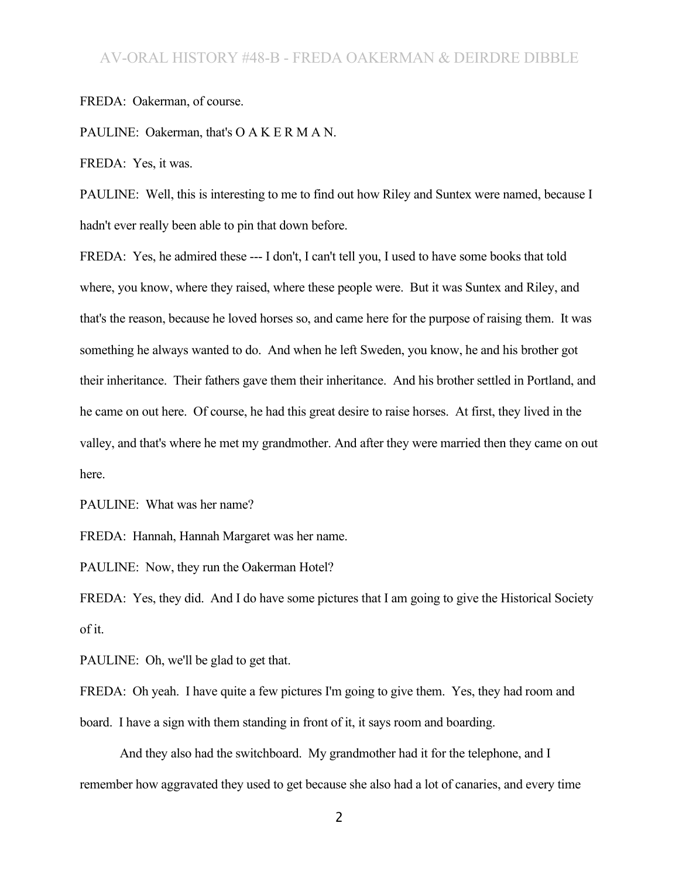#### FREDA: Oakerman, of course.

PAULINE: Oakerman, that's O A K E R M A N.

FREDA: Yes, it was.

PAULINE: Well, this is interesting to me to find out how Riley and Suntex were named, because I hadn't ever really been able to pin that down before.

FREDA: Yes, he admired these --- I don't, I can't tell you, I used to have some books that told where, you know, where they raised, where these people were. But it was Suntex and Riley, and that's the reason, because he loved horses so, and came here for the purpose of raising them. It was something he always wanted to do. And when he left Sweden, you know, he and his brother got their inheritance. Their fathers gave them their inheritance. And his brother settled in Portland, and he came on out here. Of course, he had this great desire to raise horses. At first, they lived in the valley, and that's where he met my grandmother. And after they were married then they came on out here.

PAULINE: What was her name?

FREDA: Hannah, Hannah Margaret was her name.

PAULINE: Now, they run the Oakerman Hotel?

FREDA: Yes, they did. And I do have some pictures that I am going to give the Historical Society of it.

PAULINE: Oh, we'll be glad to get that.

FREDA: Oh yeah. I have quite a few pictures I'm going to give them. Yes, they had room and

board. I have a sign with them standing in front of it, it says room and boarding.

And they also had the switchboard. My grandmother had it for the telephone, and I remember how aggravated they used to get because she also had a lot of canaries, and every time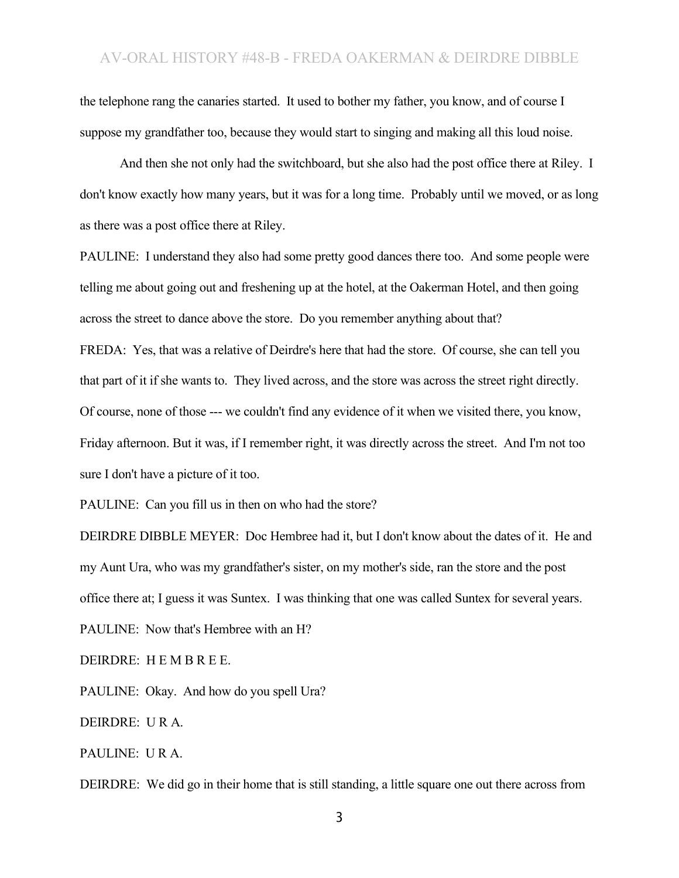the telephone rang the canaries started. It used to bother my father, you know, and of course I suppose my grandfather too, because they would start to singing and making all this loud noise.

And then she not only had the switchboard, but she also had the post office there at Riley. I don't know exactly how many years, but it was for a long time. Probably until we moved, or as long as there was a post office there at Riley.

PAULINE: I understand they also had some pretty good dances there too. And some people were telling me about going out and freshening up at the hotel, at the Oakerman Hotel, and then going across the street to dance above the store. Do you remember anything about that?

FREDA: Yes, that was a relative of Deirdre's here that had the store. Of course, she can tell you that part of it if she wants to. They lived across, and the store was across the street right directly. Of course, none of those --- we couldn't find any evidence of it when we visited there, you know, Friday afternoon. But it was, if I remember right, it was directly across the street. And I'm not too sure I don't have a picture of it too.

PAULINE: Can you fill us in then on who had the store?

DEIRDRE DIBBLE MEYER: Doc Hembree had it, but I don't know about the dates of it. He and my Aunt Ura, who was my grandfather's sister, on my mother's side, ran the store and the post office there at; I guess it was Suntex. I was thinking that one was called Suntex for several years.

PAULINE: Now that's Hembree with an H?

DEIRDRE: H E M B R E E.

PAULINE: Okay. And how do you spell Ura?

DEIRDRE: U R A.

PAULINE: U R A.

DEIRDRE: We did go in their home that is still standing, a little square one out there across from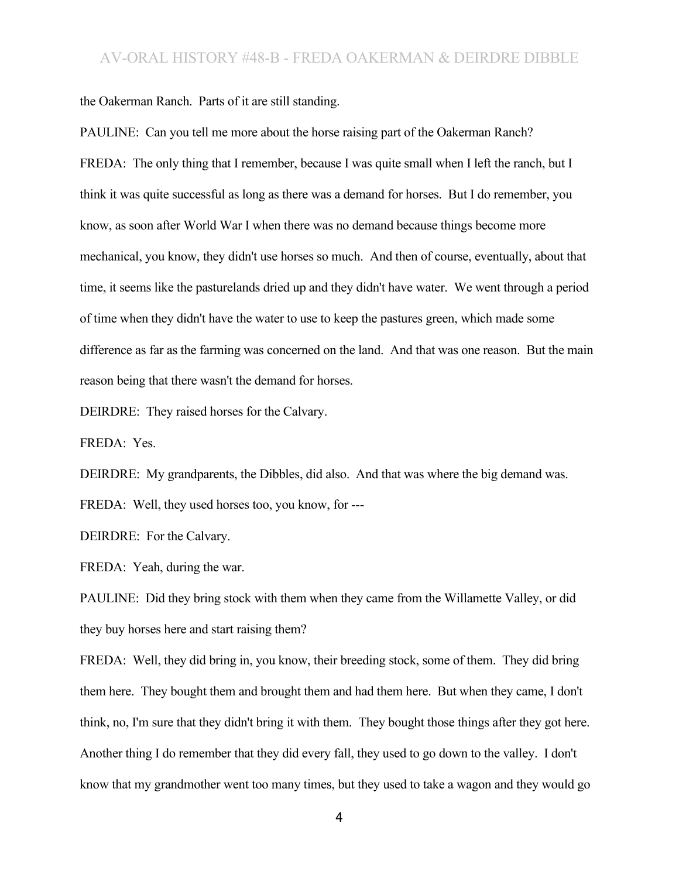the Oakerman Ranch. Parts of it are still standing.

PAULINE: Can you tell me more about the horse raising part of the Oakerman Ranch? FREDA: The only thing that I remember, because I was quite small when I left the ranch, but I think it was quite successful as long as there was a demand for horses. But I do remember, you know, as soon after World War I when there was no demand because things become more mechanical, you know, they didn't use horses so much. And then of course, eventually, about that time, it seems like the pasturelands dried up and they didn't have water. We went through a period of time when they didn't have the water to use to keep the pastures green, which made some difference as far as the farming was concerned on the land. And that was one reason. But the main reason being that there wasn't the demand for horses.

DEIRDRE: They raised horses for the Calvary.

FREDA: Yes.

DEIRDRE: My grandparents, the Dibbles, did also. And that was where the big demand was.

FREDA: Well, they used horses too, you know, for ---

DEIRDRE: For the Calvary.

FREDA: Yeah, during the war.

PAULINE: Did they bring stock with them when they came from the Willamette Valley, or did they buy horses here and start raising them?

FREDA: Well, they did bring in, you know, their breeding stock, some of them. They did bring them here. They bought them and brought them and had them here. But when they came, I don't think, no, I'm sure that they didn't bring it with them. They bought those things after they got here. Another thing I do remember that they did every fall, they used to go down to the valley. I don't know that my grandmother went too many times, but they used to take a wagon and they would go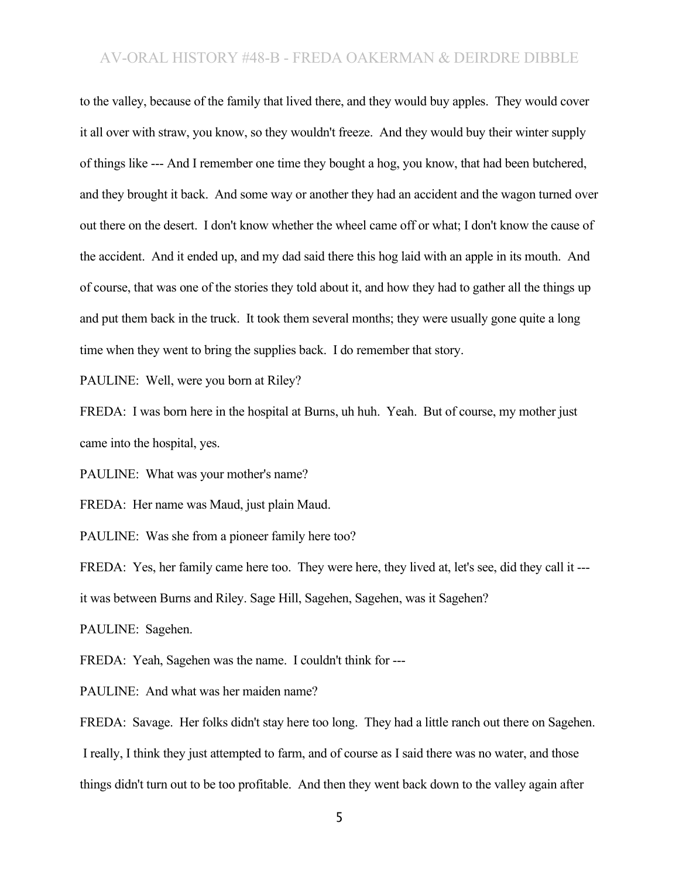to the valley, because of the family that lived there, and they would buy apples. They would cover it all over with straw, you know, so they wouldn't freeze. And they would buy their winter supply of things like --- And I remember one time they bought a hog, you know, that had been butchered, and they brought it back. And some way or another they had an accident and the wagon turned over out there on the desert. I don't know whether the wheel came off or what; I don't know the cause of the accident. And it ended up, and my dad said there this hog laid with an apple in its mouth. And of course, that was one of the stories they told about it, and how they had to gather all the things up and put them back in the truck. It took them several months; they were usually gone quite a long time when they went to bring the supplies back. I do remember that story.

PAULINE: Well, were you born at Riley?

FREDA: I was born here in the hospital at Burns, uh huh. Yeah. But of course, my mother just came into the hospital, yes.

PAULINE: What was your mother's name?

FREDA: Her name was Maud, just plain Maud.

PAULINE: Was she from a pioneer family here too?

FREDA: Yes, her family came here too. They were here, they lived at, let's see, did they call it -- it was between Burns and Riley. Sage Hill, Sagehen, Sagehen, was it Sagehen?

PAULINE: Sagehen.

FREDA: Yeah, Sagehen was the name. I couldn't think for ---

PAULINE: And what was her maiden name?

FREDA: Savage. Her folks didn't stay here too long. They had a little ranch out there on Sagehen. I really, I think they just attempted to farm, and of course as I said there was no water, and those things didn't turn out to be too profitable. And then they went back down to the valley again after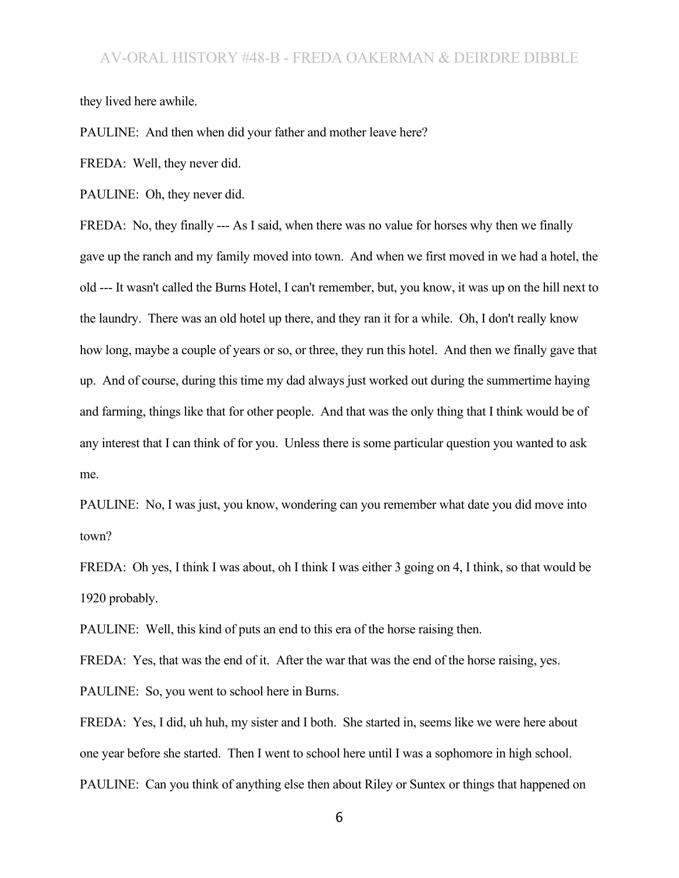they lived here awhile.

PAULINE: And then when did your father and mother leave here?

FREDA: Well, they never did.

PAULINE: Oh, they never did.

FREDA: No, they finally --- As I said, when there was no value for horses why then we finally gave up the ranch and my family moved into town. And when we first moved in we had a hotel, the old --- It wasn't called the Burns Hotel, I can't remember, but, you know, it was up on the hill next to the laundry. There was an old hotel up there, and they ran it for a while. Oh, I don't really know how long, maybe a couple of years or so, or three, they run this hotel. And then we finally gave that up. And of course, during this time my dad always just worked out during the summertime haying and farming, things like that for other people. And that was the only thing that I think would be of any interest that I can think of for you. Unless there is some particular question you wanted to ask me.

PAULINE: No, I was just, you know, wondering can you remember what date you did move into town?

FREDA: Oh yes, I think I was about, oh I think I was either 3 going on 4, I think, so that would be 1920 probably.

PAULINE: Well, this kind of puts an end to this era of the horse raising then.

FREDA: Yes, that was the end of it. After the war that was the end of the horse raising, yes.

PAULINE: So, you went to school here in Burns.

FREDA: Yes, I did, uh huh, my sister and I both. She started in, seems like we were here about one year before she started. Then I went to school here until I was a sophomore in high school. PAULINE: Can you think of anything else then about Riley or Suntex or things that happened on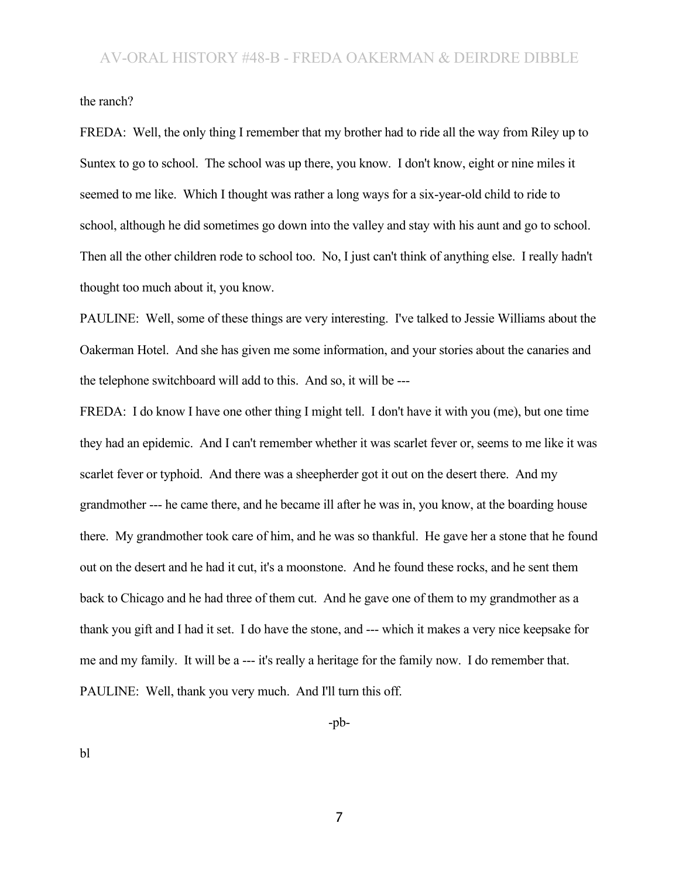the ranch?

FREDA: Well, the only thing I remember that my brother had to ride all the way from Riley up to Suntex to go to school. The school was up there, you know. I don't know, eight or nine miles it seemed to me like. Which I thought was rather a long ways for a six-year-old child to ride to school, although he did sometimes go down into the valley and stay with his aunt and go to school. Then all the other children rode to school too. No, I just can't think of anything else. I really hadn't thought too much about it, you know.

PAULINE: Well, some of these things are very interesting. I've talked to Jessie Williams about the Oakerman Hotel. And she has given me some information, and your stories about the canaries and the telephone switchboard will add to this. And so, it will be ---

FREDA: I do know I have one other thing I might tell. I don't have it with you (me), but one time they had an epidemic. And I can't remember whether it was scarlet fever or, seems to me like it was scarlet fever or typhoid. And there was a sheepherder got it out on the desert there. And my grandmother --- he came there, and he became ill after he was in, you know, at the boarding house there. My grandmother took care of him, and he was so thankful. He gave her a stone that he found out on the desert and he had it cut, it's a moonstone. And he found these rocks, and he sent them back to Chicago and he had three of them cut. And he gave one of them to my grandmother as a thank you gift and I had it set. I do have the stone, and --- which it makes a very nice keepsake for me and my family. It will be a --- it's really a heritage for the family now. I do remember that. PAULINE: Well, thank you very much. And I'll turn this off.

-pb-

bl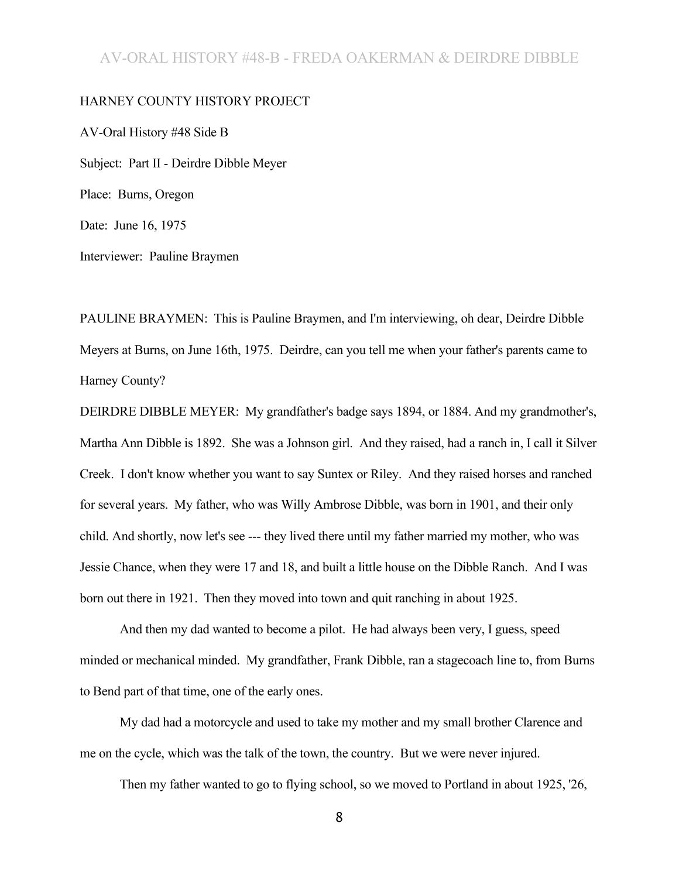#### HARNEY COUNTY HISTORY PROJECT

AV-Oral History #48 Side B Subject: Part II - Deirdre Dibble Meyer Place: Burns, Oregon Date: June 16, 1975

Interviewer: Pauline Braymen

PAULINE BRAYMEN: This is Pauline Braymen, and I'm interviewing, oh dear, Deirdre Dibble Meyers at Burns, on June 16th, 1975. Deirdre, can you tell me when your father's parents came to Harney County?

DEIRDRE DIBBLE MEYER: My grandfather's badge says 1894, or 1884. And my grandmother's, Martha Ann Dibble is 1892. She was a Johnson girl. And they raised, had a ranch in, I call it Silver Creek. I don't know whether you want to say Suntex or Riley. And they raised horses and ranched for several years. My father, who was Willy Ambrose Dibble, was born in 1901, and their only child. And shortly, now let's see --- they lived there until my father married my mother, who was Jessie Chance, when they were 17 and 18, and built a little house on the Dibble Ranch. And I was born out there in 1921. Then they moved into town and quit ranching in about 1925.

And then my dad wanted to become a pilot. He had always been very, I guess, speed minded or mechanical minded. My grandfather, Frank Dibble, ran a stagecoach line to, from Burns to Bend part of that time, one of the early ones.

My dad had a motorcycle and used to take my mother and my small brother Clarence and me on the cycle, which was the talk of the town, the country. But we were never injured.

Then my father wanted to go to flying school, so we moved to Portland in about 1925, '26,

8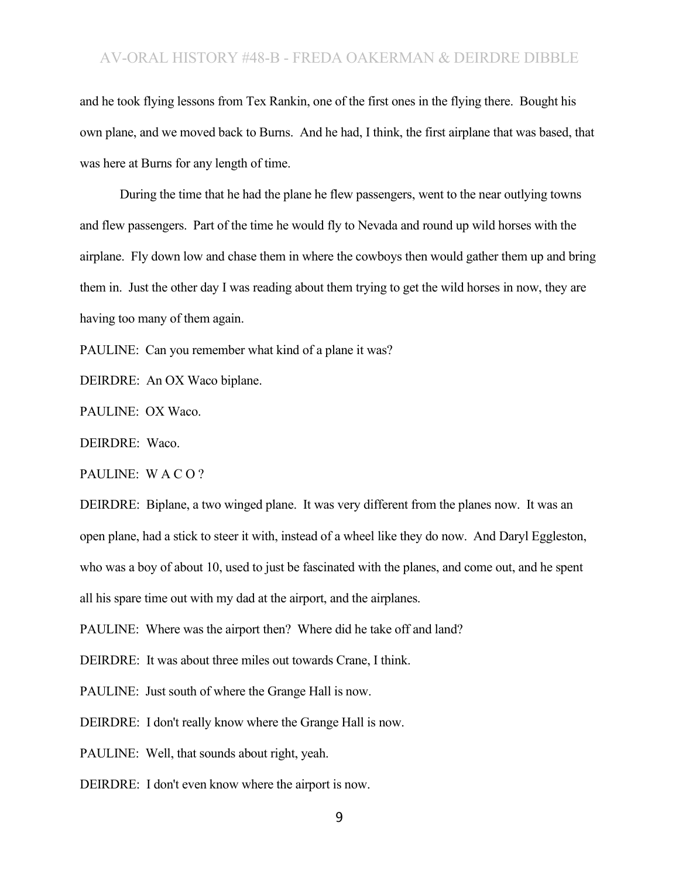and he took flying lessons from Tex Rankin, one of the first ones in the flying there. Bought his own plane, and we moved back to Burns. And he had, I think, the first airplane that was based, that was here at Burns for any length of time.

During the time that he had the plane he flew passengers, went to the near outlying towns and flew passengers. Part of the time he would fly to Nevada and round up wild horses with the airplane. Fly down low and chase them in where the cowboys then would gather them up and bring them in. Just the other day I was reading about them trying to get the wild horses in now, they are having too many of them again.

PAULINE: Can you remember what kind of a plane it was?

DEIRDRE: An OX Waco biplane.

PAULINE: OX Waco.

DEIRDRE: Waco.

PAULINE: W A C O ?

DEIRDRE: Biplane, a two winged plane. It was very different from the planes now. It was an open plane, had a stick to steer it with, instead of a wheel like they do now. And Daryl Eggleston, who was a boy of about 10, used to just be fascinated with the planes, and come out, and he spent all his spare time out with my dad at the airport, and the airplanes.

PAULINE: Where was the airport then? Where did he take off and land?

DEIRDRE: It was about three miles out towards Crane, I think.

PAULINE: Just south of where the Grange Hall is now.

DEIRDRE: I don't really know where the Grange Hall is now.

PAULINE: Well, that sounds about right, yeah.

DEIRDRE: I don't even know where the airport is now.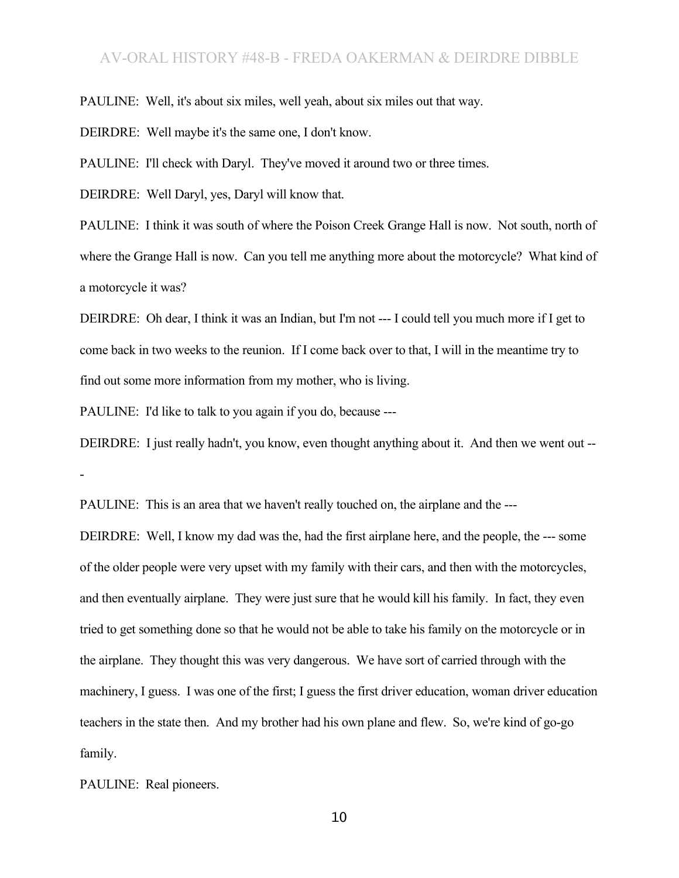PAULINE: Well, it's about six miles, well yeah, about six miles out that way.

DEIRDRE: Well maybe it's the same one, I don't know.

PAULINE: I'll check with Daryl. They've moved it around two or three times.

DEIRDRE: Well Daryl, yes, Daryl will know that.

PAULINE: I think it was south of where the Poison Creek Grange Hall is now. Not south, north of where the Grange Hall is now. Can you tell me anything more about the motorcycle? What kind of a motorcycle it was?

DEIRDRE: Oh dear, I think it was an Indian, but I'm not --- I could tell you much more if I get to come back in two weeks to the reunion. If I come back over to that, I will in the meantime try to find out some more information from my mother, who is living.

PAULINE: I'd like to talk to you again if you do, because ---

DEIRDRE: I just really hadn't, you know, even thought anything about it. And then we went out -- -

PAULINE: This is an area that we haven't really touched on, the airplane and the ---

DEIRDRE: Well, I know my dad was the, had the first airplane here, and the people, the --- some of the older people were very upset with my family with their cars, and then with the motorcycles, and then eventually airplane. They were just sure that he would kill his family. In fact, they even tried to get something done so that he would not be able to take his family on the motorcycle or in the airplane. They thought this was very dangerous. We have sort of carried through with the machinery, I guess. I was one of the first; I guess the first driver education, woman driver education teachers in the state then. And my brother had his own plane and flew. So, we're kind of go-go family.

PAULINE: Real pioneers.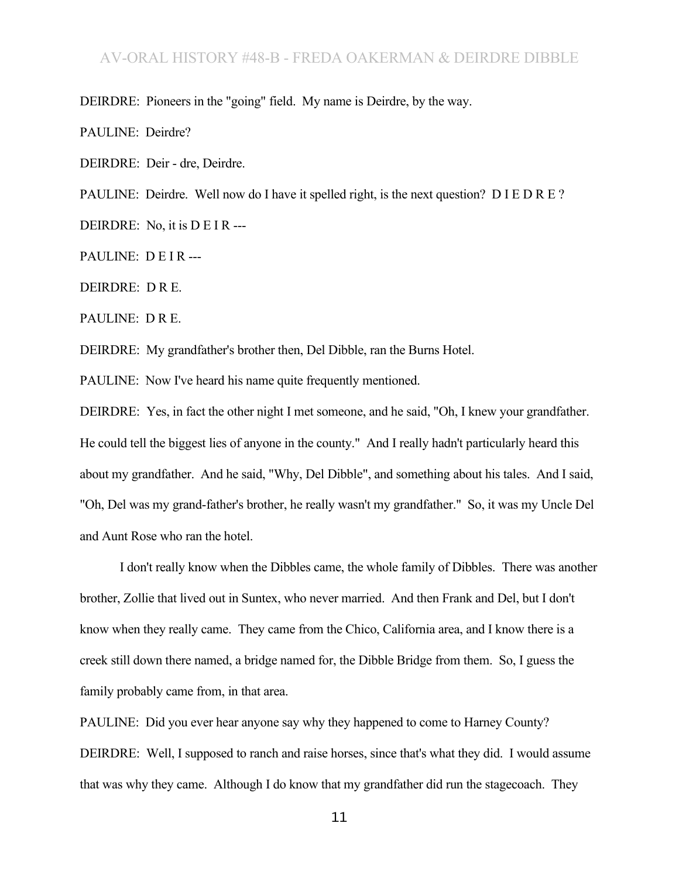DEIRDRE: Pioneers in the "going" field. My name is Deirdre, by the way.

PAULINE: Deirdre?

DEIRDRE: Deir - dre, Deirdre.

PAULINE: Deirdre. Well now do I have it spelled right, is the next question? D I E D R E ?

DEIRDRE: No, it is D E I R ---

PAULINE: DEIR---

DEIRDRE: D R E.

PAULINE: D R E.

DEIRDRE: My grandfather's brother then, Del Dibble, ran the Burns Hotel.

PAULINE: Now I've heard his name quite frequently mentioned.

DEIRDRE: Yes, in fact the other night I met someone, and he said, "Oh, I knew your grandfather. He could tell the biggest lies of anyone in the county." And I really hadn't particularly heard this about my grandfather. And he said, "Why, Del Dibble", and something about his tales. And I said, "Oh, Del was my grand-father's brother, he really wasn't my grandfather." So, it was my Uncle Del and Aunt Rose who ran the hotel.

I don't really know when the Dibbles came, the whole family of Dibbles. There was another brother, Zollie that lived out in Suntex, who never married. And then Frank and Del, but I don't know when they really came. They came from the Chico, California area, and I know there is a creek still down there named, a bridge named for, the Dibble Bridge from them. So, I guess the family probably came from, in that area.

PAULINE: Did you ever hear anyone say why they happened to come to Harney County? DEIRDRE: Well, I supposed to ranch and raise horses, since that's what they did. I would assume that was why they came. Although I do know that my grandfather did run the stagecoach. They

11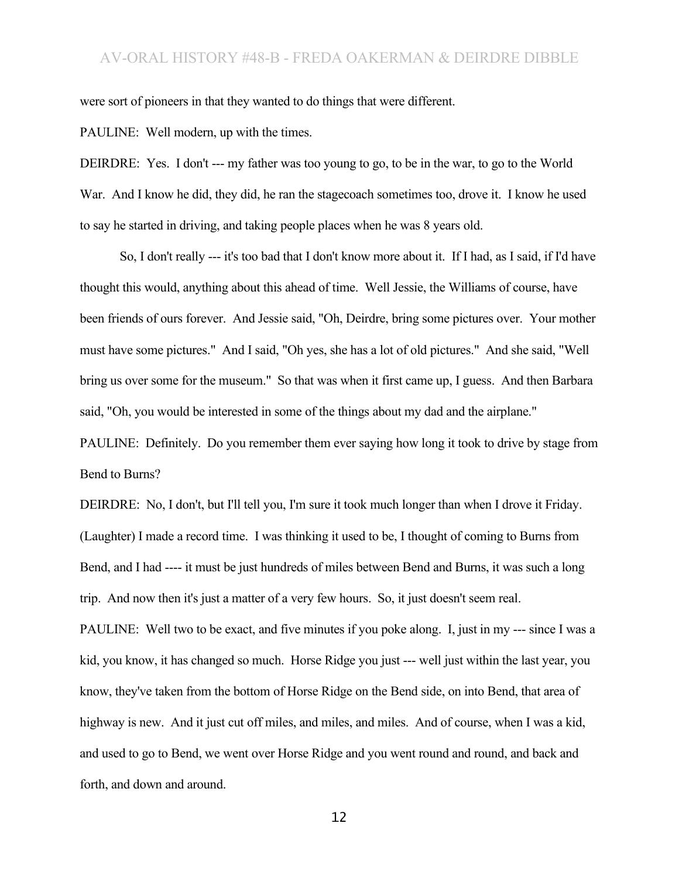were sort of pioneers in that they wanted to do things that were different.

PAULINE: Well modern, up with the times.

DEIRDRE: Yes. I don't --- my father was too young to go, to be in the war, to go to the World War. And I know he did, they did, he ran the stagecoach sometimes too, drove it. I know he used to say he started in driving, and taking people places when he was 8 years old.

So, I don't really --- it's too bad that I don't know more about it. If I had, as I said, if I'd have thought this would, anything about this ahead of time. Well Jessie, the Williams of course, have been friends of ours forever. And Jessie said, "Oh, Deirdre, bring some pictures over. Your mother must have some pictures." And I said, "Oh yes, she has a lot of old pictures." And she said, "Well bring us over some for the museum." So that was when it first came up, I guess. And then Barbara said, "Oh, you would be interested in some of the things about my dad and the airplane."

PAULINE: Definitely. Do you remember them ever saying how long it took to drive by stage from Bend to Burns?

DEIRDRE: No, I don't, but I'll tell you, I'm sure it took much longer than when I drove it Friday. (Laughter) I made a record time. I was thinking it used to be, I thought of coming to Burns from Bend, and I had ---- it must be just hundreds of miles between Bend and Burns, it was such a long trip. And now then it's just a matter of a very few hours. So, it just doesn't seem real.

PAULINE: Well two to be exact, and five minutes if you poke along. I, just in my --- since I was a kid, you know, it has changed so much. Horse Ridge you just --- well just within the last year, you know, they've taken from the bottom of Horse Ridge on the Bend side, on into Bend, that area of highway is new. And it just cut off miles, and miles, and miles. And of course, when I was a kid, and used to go to Bend, we went over Horse Ridge and you went round and round, and back and forth, and down and around.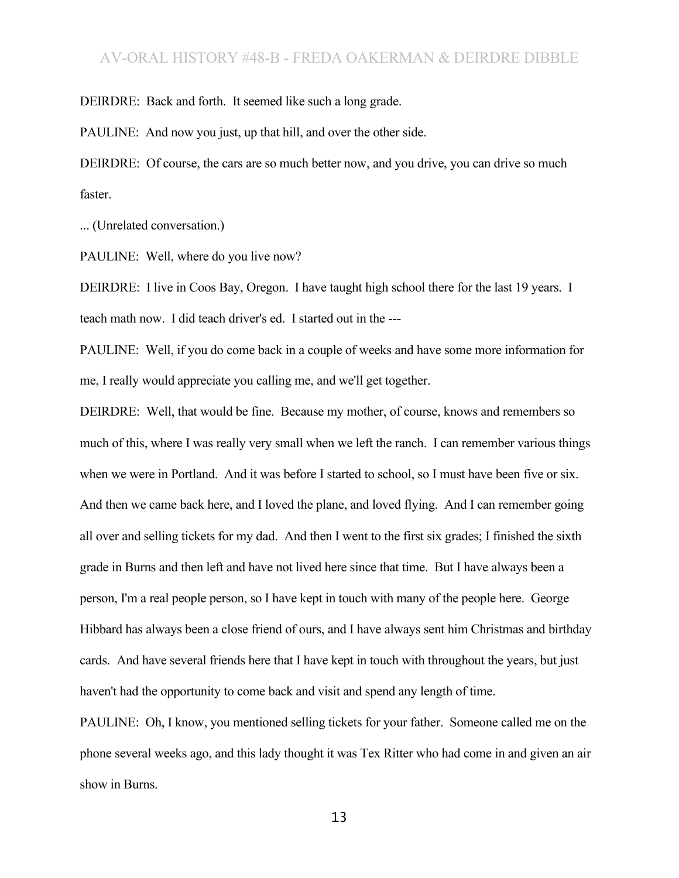DEIRDRE: Back and forth. It seemed like such a long grade.

PAULINE: And now you just, up that hill, and over the other side.

DEIRDRE: Of course, the cars are so much better now, and you drive, you can drive so much faster.

... (Unrelated conversation.)

PAULINE: Well, where do you live now?

DEIRDRE: I live in Coos Bay, Oregon. I have taught high school there for the last 19 years. I teach math now. I did teach driver's ed. I started out in the ---

PAULINE: Well, if you do come back in a couple of weeks and have some more information for me, I really would appreciate you calling me, and we'll get together.

DEIRDRE: Well, that would be fine. Because my mother, of course, knows and remembers so much of this, where I was really very small when we left the ranch. I can remember various things when we were in Portland. And it was before I started to school, so I must have been five or six. And then we came back here, and I loved the plane, and loved flying. And I can remember going all over and selling tickets for my dad. And then I went to the first six grades; I finished the sixth grade in Burns and then left and have not lived here since that time. But I have always been a person, I'm a real people person, so I have kept in touch with many of the people here. George Hibbard has always been a close friend of ours, and I have always sent him Christmas and birthday cards. And have several friends here that I have kept in touch with throughout the years, but just haven't had the opportunity to come back and visit and spend any length of time.

PAULINE: Oh, I know, you mentioned selling tickets for your father. Someone called me on the phone several weeks ago, and this lady thought it was Tex Ritter who had come in and given an air show in Burns.

13